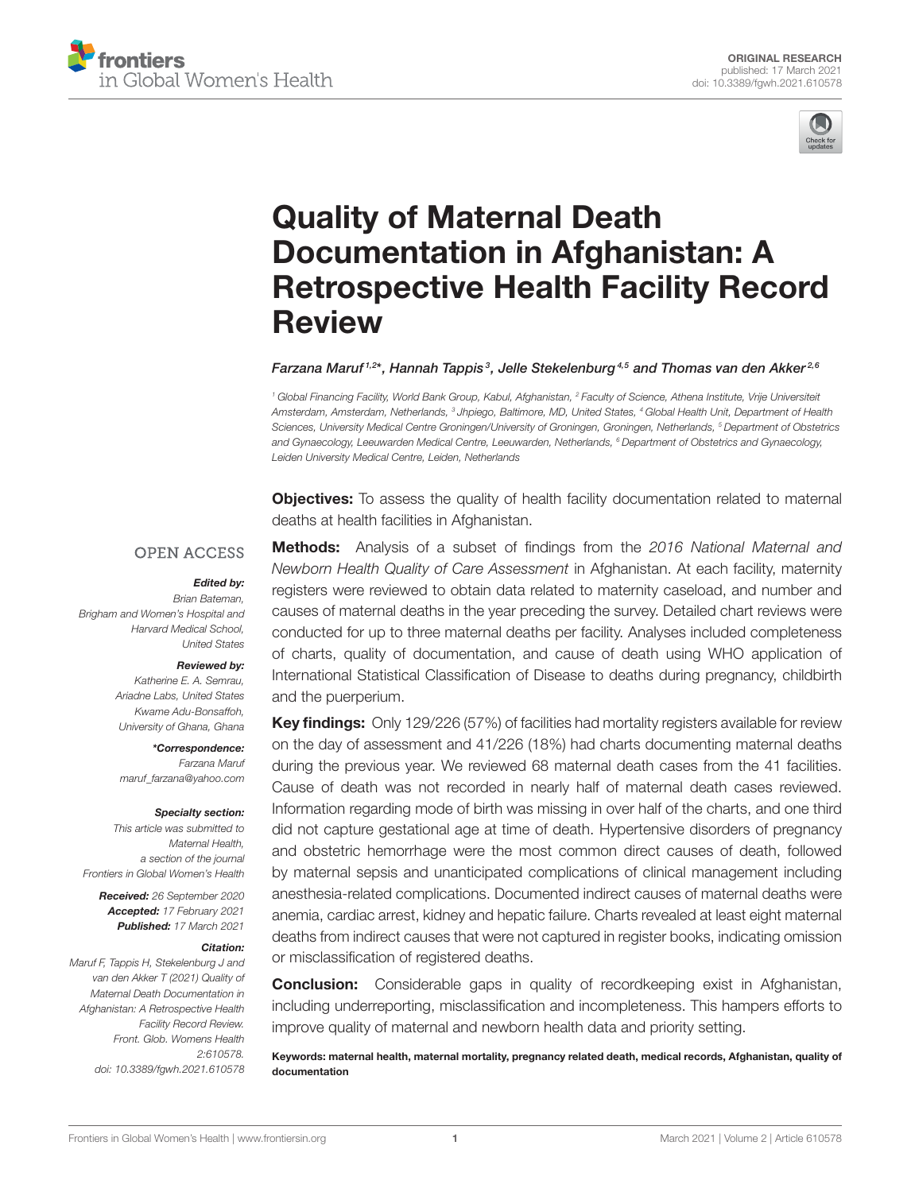



# Quality of Maternal Death Documentation in Afghanistan: A [Retrospective Health Facility Record](https://www.frontiersin.org/articles/10.3389/fgwh.2021.610578/full) Review

#### Farzana Maruf <sup>1,2\*</sup>, Hannah Tappis<sup>3</sup>, Jelle Stekelenburg <sup>4,5</sup> and Thomas van den Akker <sup>2,6</sup>

*<sup>1</sup> Global Financing Facility, World Bank Group, Kabul, Afghanistan, <sup>2</sup> Faculty of Science, Athena Institute, Vrije Universiteit Amsterdam, Amsterdam, Netherlands, <sup>3</sup> Jhpiego, Baltimore, MD, United States, <sup>4</sup> Global Health Unit, Department of Health Sciences, University Medical Centre Groningen/University of Groningen, Groningen, Netherlands, <sup>5</sup> Department of Obstetrics and Gynaecology, Leeuwarden Medical Centre, Leeuwarden, Netherlands, <sup>6</sup> Department of Obstetrics and Gynaecology, Leiden University Medical Centre, Leiden, Netherlands*

**Objectives:** To assess the quality of health facility documentation related to maternal deaths at health facilities in Afghanistan.

#### **OPEN ACCESS**

#### Edited by:

*Brian Bateman, Brigham and Women's Hospital and Harvard Medical School, United States*

#### Reviewed by:

*Katherine E. A. Semrau, Ariadne Labs, United States Kwame Adu-Bonsaffoh, University of Ghana, Ghana*

\*Correspondence: *Farzana Maruf [maruf\\_farzana@yahoo.com](mailto:maruf_farzana@yahoo.com)*

#### Specialty section:

*This article was submitted to Maternal Health, a section of the journal Frontiers in Global Women's Health*

Received: *26 September 2020* Accepted: *17 February 2021* Published: *17 March 2021*

#### Citation:

*Maruf F, Tappis H, Stekelenburg J and van den Akker T (2021) Quality of Maternal Death Documentation in Afghanistan: A Retrospective Health Facility Record Review. Front. Glob. Womens Health 2:610578. doi: [10.3389/fgwh.2021.610578](https://doi.org/10.3389/fgwh.2021.610578)*

Methods: Analysis of a subset of findings from the *2016 National Maternal and Newborn Health Quality of Care Assessment* in Afghanistan. At each facility, maternity registers were reviewed to obtain data related to maternity caseload, and number and causes of maternal deaths in the year preceding the survey. Detailed chart reviews were conducted for up to three maternal deaths per facility. Analyses included completeness of charts, quality of documentation, and cause of death using WHO application of International Statistical Classification of Disease to deaths during pregnancy, childbirth and the puerperium.

Key findings: Only 129/226 (57%) of facilities had mortality registers available for review on the day of assessment and 41/226 (18%) had charts documenting maternal deaths during the previous year. We reviewed 68 maternal death cases from the 41 facilities. Cause of death was not recorded in nearly half of maternal death cases reviewed. Information regarding mode of birth was missing in over half of the charts, and one third did not capture gestational age at time of death. Hypertensive disorders of pregnancy and obstetric hemorrhage were the most common direct causes of death, followed by maternal sepsis and unanticipated complications of clinical management including anesthesia-related complications. Documented indirect causes of maternal deaths were anemia, cardiac arrest, kidney and hepatic failure. Charts revealed at least eight maternal deaths from indirect causes that were not captured in register books, indicating omission or misclassification of registered deaths.

**Conclusion:** Considerable gaps in quality of recordkeeping exist in Afghanistan, including underreporting, misclassification and incompleteness. This hampers efforts to improve quality of maternal and newborn health data and priority setting.

Keywords: maternal health, maternal mortality, pregnancy related death, medical records, Afghanistan, quality of documentation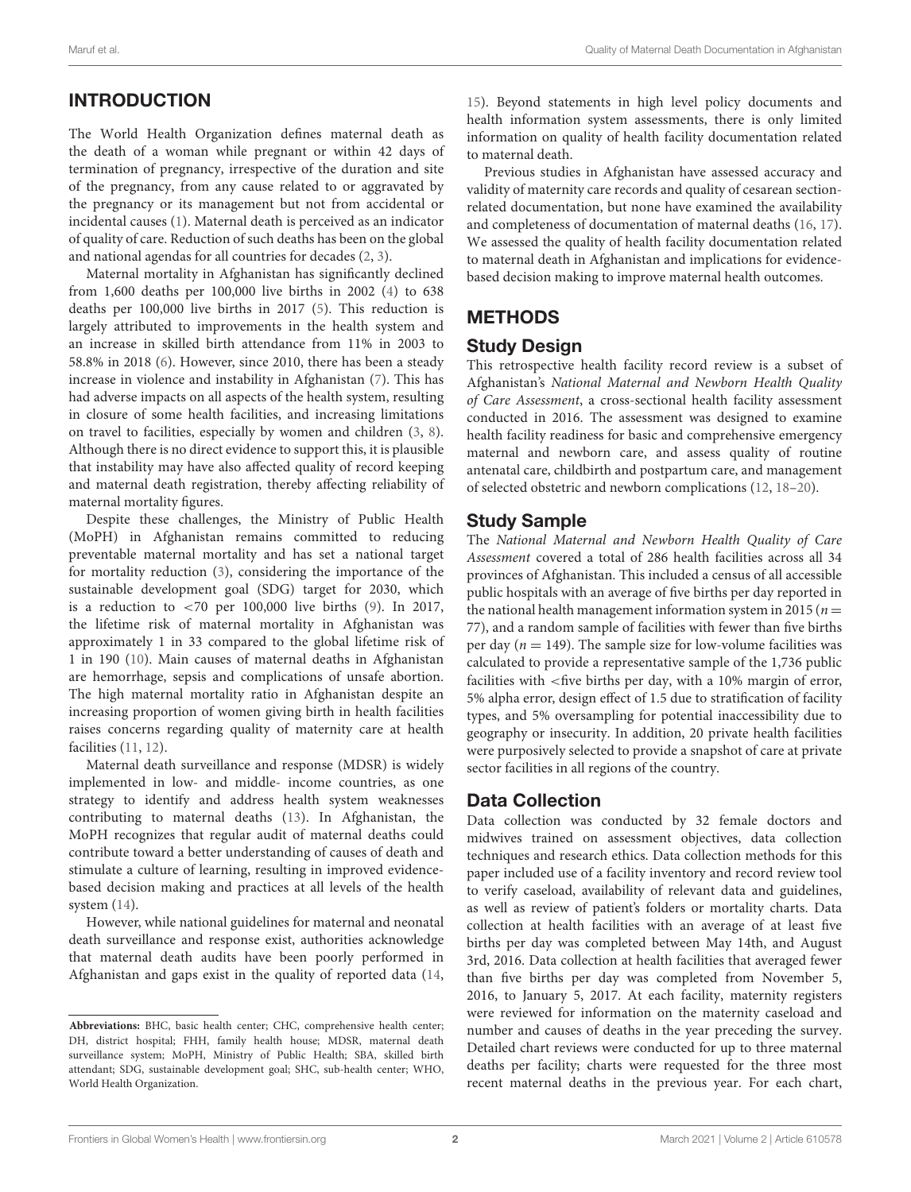## INTRODUCTION

The World Health Organization defines maternal death as the death of a woman while pregnant or within 42 days of termination of pregnancy, irrespective of the duration and site of the pregnancy, from any cause related to or aggravated by the pregnancy or its management but not from accidental or incidental causes [\(1\)](#page-7-0). Maternal death is perceived as an indicator of quality of care. Reduction of such deaths has been on the global and national agendas for all countries for decades [\(2,](#page-7-1) [3\)](#page-7-2).

Maternal mortality in Afghanistan has significantly declined from 1,600 deaths per 100,000 live births in 2002 [\(4\)](#page-7-3) to 638 deaths per 100,000 live births in 2017 [\(5\)](#page-7-4). This reduction is largely attributed to improvements in the health system and an increase in skilled birth attendance from 11% in 2003 to 58.8% in 2018 [\(6\)](#page-7-5). However, since 2010, there has been a steady increase in violence and instability in Afghanistan [\(7\)](#page-7-6). This has had adverse impacts on all aspects of the health system, resulting in closure of some health facilities, and increasing limitations on travel to facilities, especially by women and children [\(3,](#page-7-2) [8\)](#page-7-7). Although there is no direct evidence to support this, it is plausible that instability may have also affected quality of record keeping and maternal death registration, thereby affecting reliability of maternal mortality figures.

Despite these challenges, the Ministry of Public Health (MoPH) in Afghanistan remains committed to reducing preventable maternal mortality and has set a national target for mortality reduction [\(3\)](#page-7-2), considering the importance of the sustainable development goal (SDG) target for 2030, which is a reduction to  $\langle 70 \rangle$  per 100,000 live births [\(9\)](#page-7-8). In 2017, the lifetime risk of maternal mortality in Afghanistan was approximately 1 in 33 compared to the global lifetime risk of 1 in 190 [\(10\)](#page-7-9). Main causes of maternal deaths in Afghanistan are hemorrhage, sepsis and complications of unsafe abortion. The high maternal mortality ratio in Afghanistan despite an increasing proportion of women giving birth in health facilities raises concerns regarding quality of maternity care at health facilities [\(11,](#page-7-10) [12\)](#page-7-11).

Maternal death surveillance and response (MDSR) is widely implemented in low- and middle- income countries, as one strategy to identify and address health system weaknesses contributing to maternal deaths [\(13\)](#page-7-12). In Afghanistan, the MoPH recognizes that regular audit of maternal deaths could contribute toward a better understanding of causes of death and stimulate a culture of learning, resulting in improved evidencebased decision making and practices at all levels of the health system [\(14\)](#page-7-13).

However, while national guidelines for maternal and neonatal death surveillance and response exist, authorities acknowledge that maternal death audits have been poorly performed in Afghanistan and gaps exist in the quality of reported data [\(14,](#page-7-13) [15\)](#page-7-14). Beyond statements in high level policy documents and health information system assessments, there is only limited information on quality of health facility documentation related to maternal death.

Previous studies in Afghanistan have assessed accuracy and validity of maternity care records and quality of cesarean sectionrelated documentation, but none have examined the availability and completeness of documentation of maternal deaths [\(16,](#page-7-15) [17\)](#page-7-16). We assessed the quality of health facility documentation related to maternal death in Afghanistan and implications for evidencebased decision making to improve maternal health outcomes.

## **METHODS**

## Study Design

This retrospective health facility record review is a subset of Afghanistan's National Maternal and Newborn Health Quality of Care Assessment, a cross-sectional health facility assessment conducted in 2016. The assessment was designed to examine health facility readiness for basic and comprehensive emergency maternal and newborn care, and assess quality of routine antenatal care, childbirth and postpartum care, and management of selected obstetric and newborn complications [\(12,](#page-7-11) [18](#page-7-17)[–20\)](#page-7-18).

#### Study Sample

The National Maternal and Newborn Health Quality of Care Assessment covered a total of 286 health facilities across all 34 provinces of Afghanistan. This included a census of all accessible public hospitals with an average of five births per day reported in the national health management information system in 2015 ( $n =$ 77), and a random sample of facilities with fewer than five births per day ( $n = 149$ ). The sample size for low-volume facilities was calculated to provide a representative sample of the 1,736 public facilities with <five births per day, with a 10% margin of error, 5% alpha error, design effect of 1.5 due to stratification of facility types, and 5% oversampling for potential inaccessibility due to geography or insecurity. In addition, 20 private health facilities were purposively selected to provide a snapshot of care at private sector facilities in all regions of the country.

#### Data Collection

Data collection was conducted by 32 female doctors and midwives trained on assessment objectives, data collection techniques and research ethics. Data collection methods for this paper included use of a facility inventory and record review tool to verify caseload, availability of relevant data and guidelines, as well as review of patient's folders or mortality charts. Data collection at health facilities with an average of at least five births per day was completed between May 14th, and August 3rd, 2016. Data collection at health facilities that averaged fewer than five births per day was completed from November 5, 2016, to January 5, 2017. At each facility, maternity registers were reviewed for information on the maternity caseload and number and causes of deaths in the year preceding the survey. Detailed chart reviews were conducted for up to three maternal deaths per facility; charts were requested for the three most recent maternal deaths in the previous year. For each chart,

**Abbreviations:** BHC, basic health center; CHC, comprehensive health center; DH, district hospital; FHH, family health house; MDSR, maternal death surveillance system; MoPH, Ministry of Public Health; SBA, skilled birth attendant; SDG, sustainable development goal; SHC, sub-health center; WHO, World Health Organization.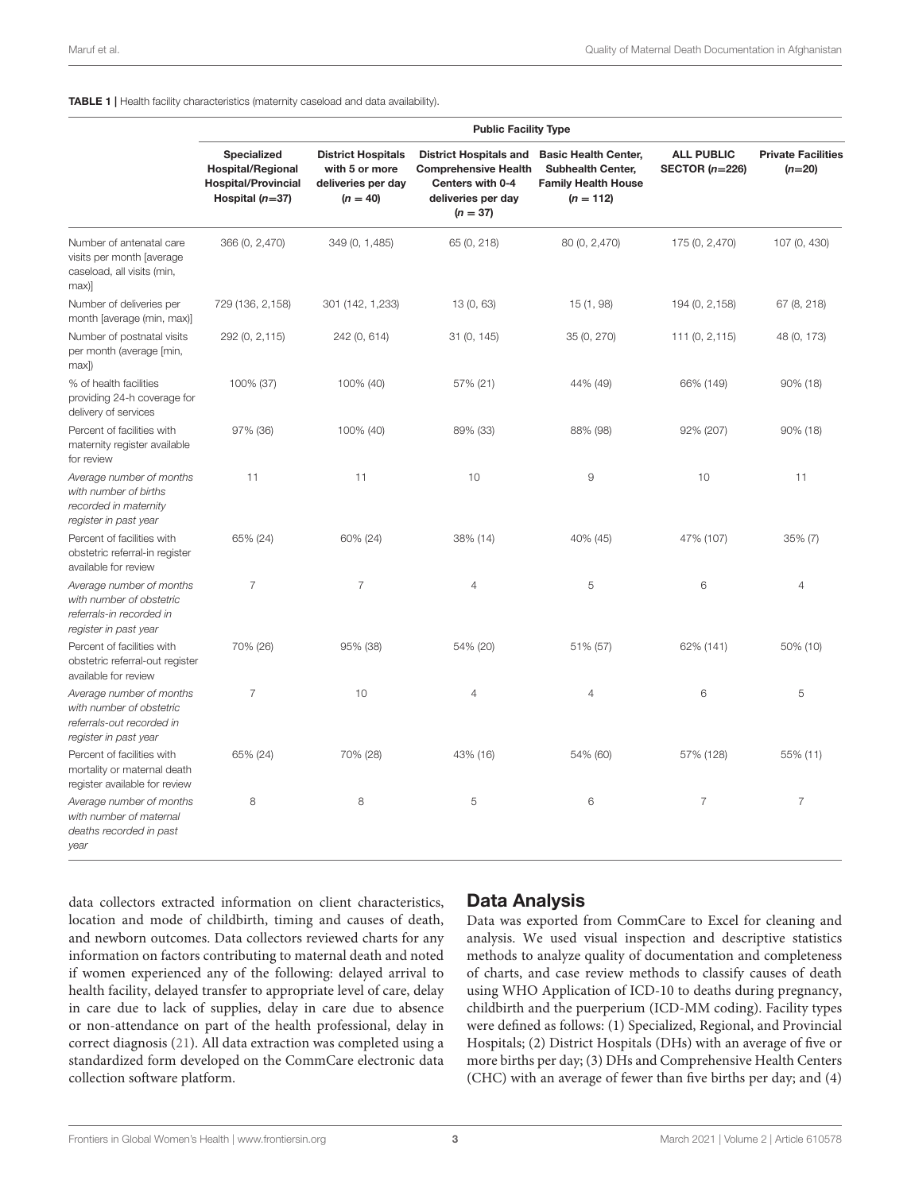#### <span id="page-2-0"></span>TABLE 1 | Health facility characteristics (maternity caseload and data availability).

|                                                                                                            | <b>Public Facility Type</b>                                                                |                                                                                 |                                                                                                                      |                                                                                                      |                                       |                                       |  |
|------------------------------------------------------------------------------------------------------------|--------------------------------------------------------------------------------------------|---------------------------------------------------------------------------------|----------------------------------------------------------------------------------------------------------------------|------------------------------------------------------------------------------------------------------|---------------------------------------|---------------------------------------|--|
|                                                                                                            | Specialized<br><b>Hospital/Regional</b><br><b>Hospital/Provincial</b><br>Hospital $(n=37)$ | <b>District Hospitals</b><br>with 5 or more<br>deliveries per day<br>$(n = 40)$ | <b>District Hospitals and</b><br><b>Comprehensive Health</b><br>Centers with 0-4<br>deliveries per day<br>$(n = 37)$ | <b>Basic Health Center,</b><br><b>Subhealth Center,</b><br><b>Family Health House</b><br>$(n = 112)$ | <b>ALL PUBLIC</b><br>SECTOR $(n=226)$ | <b>Private Facilities</b><br>$(n=20)$ |  |
| Number of antenatal care<br>visits per month [average<br>caseload, all visits (min,<br>max)]               | 366 (0, 2,470)                                                                             | 349 (0, 1,485)                                                                  | 65 (0, 218)                                                                                                          | 80 (0, 2,470)                                                                                        | 175 (0, 2,470)                        | 107 (0, 430)                          |  |
| Number of deliveries per<br>month [average (min, max)]                                                     | 729 (136, 2, 158)                                                                          | 301 (142, 1,233)                                                                | 13 (0, 63)                                                                                                           | 15 (1, 98)                                                                                           | 194 (0, 2, 158)                       | 67 (8, 218)                           |  |
| Number of postnatal visits<br>per month (average [min,<br>max)                                             | 292 (0, 2, 115)                                                                            | 242 (0, 614)                                                                    | 31 (0, 145)                                                                                                          | 35 (0, 270)                                                                                          | 111 (0, 2, 115)                       | 48 (0, 173)                           |  |
| % of health facilities<br>providing 24-h coverage for<br>delivery of services                              | 100% (37)                                                                                  | 100% (40)                                                                       | 57% (21)                                                                                                             | 44% (49)                                                                                             | 66% (149)                             | 90% (18)                              |  |
| Percent of facilities with<br>maternity register available<br>for review                                   | 97% (36)                                                                                   | 100% (40)                                                                       | 89% (33)                                                                                                             | 88% (98)                                                                                             | 92% (207)                             | 90% (18)                              |  |
| Average number of months<br>with number of births<br>recorded in maternity<br>register in past year        | 11                                                                                         | 11                                                                              | 10                                                                                                                   | 9                                                                                                    | 10                                    | 11                                    |  |
| Percent of facilities with<br>obstetric referral-in register<br>available for review                       | 65% (24)                                                                                   | 60% (24)                                                                        | 38% (14)                                                                                                             | 40% (45)                                                                                             | 47% (107)                             | 35% (7)                               |  |
| Average number of months<br>with number of obstetric<br>referrals-in recorded in<br>register in past year  | $\overline{7}$                                                                             | $\overline{7}$                                                                  | $\overline{4}$                                                                                                       | 5                                                                                                    | 6                                     | $\overline{4}$                        |  |
| Percent of facilities with<br>obstetric referral-out register<br>available for review                      | 70% (26)                                                                                   | 95% (38)                                                                        | 54% (20)                                                                                                             | 51% (57)                                                                                             | 62% (141)                             | 50% (10)                              |  |
| Average number of months<br>with number of obstetric<br>referrals-out recorded in<br>register in past year | $\overline{7}$                                                                             | 10                                                                              | $\overline{4}$                                                                                                       | $\overline{4}$                                                                                       | 6                                     | 5                                     |  |
| Percent of facilities with<br>mortality or maternal death<br>register available for review                 | 65% (24)                                                                                   | 70% (28)                                                                        | 43% (16)                                                                                                             | 54% (60)                                                                                             | 57% (128)                             | 55% (11)                              |  |
| Average number of months<br>with number of maternal<br>deaths recorded in past<br>year                     | 8                                                                                          | 8                                                                               | 5                                                                                                                    | 6                                                                                                    | $\overline{7}$                        | $\overline{7}$                        |  |

data collectors extracted information on client characteristics, location and mode of childbirth, timing and causes of death, and newborn outcomes. Data collectors reviewed charts for any information on factors contributing to maternal death and noted if women experienced any of the following: delayed arrival to health facility, delayed transfer to appropriate level of care, delay in care due to lack of supplies, delay in care due to absence or non-attendance on part of the health professional, delay in correct diagnosis [\(21\)](#page-7-19). All data extraction was completed using a standardized form developed on the CommCare electronic data collection software platform.

#### Data Analysis

Data was exported from CommCare to Excel for cleaning and analysis. We used visual inspection and descriptive statistics methods to analyze quality of documentation and completeness of charts, and case review methods to classify causes of death using WHO Application of ICD-10 to deaths during pregnancy, childbirth and the puerperium (ICD-MM coding). Facility types were defined as follows: (1) Specialized, Regional, and Provincial Hospitals; (2) District Hospitals (DHs) with an average of five or more births per day; (3) DHs and Comprehensive Health Centers (CHC) with an average of fewer than five births per day; and (4)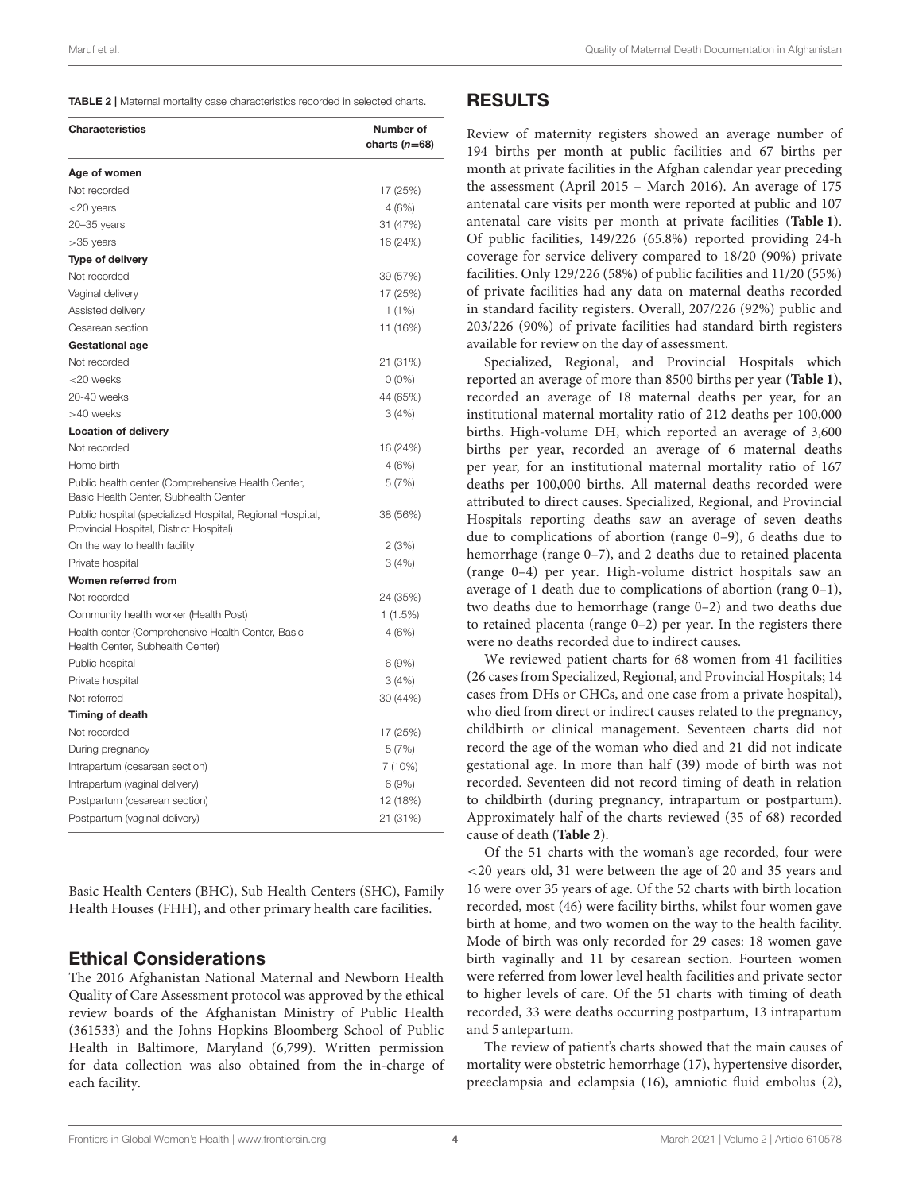<span id="page-3-0"></span>TABLE 2 | Maternal mortality case characteristics recorded in selected charts.

| <b>Characteristics</b>                                                                               | Number of<br>charts $(n=68)$ |
|------------------------------------------------------------------------------------------------------|------------------------------|
| Age of women                                                                                         |                              |
| Not recorded                                                                                         | 17 (25%)                     |
| $<$ 20 years                                                                                         | 4(6%)                        |
| $20 - 35$ years                                                                                      | 31 (47%)                     |
| $>35$ years                                                                                          | 16 (24%)                     |
| <b>Type of delivery</b>                                                                              |                              |
| Not recorded                                                                                         | 39 (57%)                     |
| Vaginal delivery                                                                                     | 17 (25%)                     |
| Assisted delivery                                                                                    | 1(1%)                        |
| Cesarean section                                                                                     | 11 (16%)                     |
| Gestational age                                                                                      |                              |
| Not recorded                                                                                         | 21 (31%)                     |
| $<$ 20 weeks                                                                                         | $0(0\%)$                     |
| 20-40 weeks                                                                                          | 44 (65%)                     |
| >40 weeks                                                                                            | 3(4%)                        |
| <b>Location of delivery</b>                                                                          |                              |
| Not recorded                                                                                         | 16 (24%)                     |
| Home birth                                                                                           | 4(6%)                        |
| Public health center (Comprehensive Health Center,<br>Basic Health Center, Subhealth Center          | 5(7%)                        |
| Public hospital (specialized Hospital, Regional Hospital,<br>Provincial Hospital, District Hospital) | 38 (56%)                     |
| On the way to health facility                                                                        | 2(3%)                        |
| Private hospital                                                                                     | 3(4%)                        |
| Women referred from                                                                                  |                              |
| Not recorded                                                                                         | 24 (35%)                     |
| Community health worker (Health Post)                                                                | 1(1.5%)                      |
| Health center (Comprehensive Health Center, Basic<br>Health Center, Subhealth Center)                | 4(6%)                        |
| Public hospital                                                                                      | 6(9%)                        |
| Private hospital                                                                                     | 3(4%)                        |
| Not referred                                                                                         | 30 (44%)                     |
| Timing of death                                                                                      |                              |
| Not recorded                                                                                         | 17 (25%)                     |
| During pregnancy                                                                                     | 5(7%)                        |
| Intrapartum (cesarean section)                                                                       | 7 (10%)                      |
| Intrapartum (vaginal delivery)                                                                       | 6(9%)                        |
| Postpartum (cesarean section)                                                                        | 12 (18%)                     |
| Postpartum (vaginal delivery)                                                                        | 21 (31%)                     |

Basic Health Centers (BHC), Sub Health Centers (SHC), Family Health Houses (FHH), and other primary health care facilities.

#### Ethical Considerations

The 2016 Afghanistan National Maternal and Newborn Health Quality of Care Assessment protocol was approved by the ethical review boards of the Afghanistan Ministry of Public Health (361533) and the Johns Hopkins Bloomberg School of Public Health in Baltimore, Maryland (6,799). Written permission for data collection was also obtained from the in-charge of each facility.

#### RESULTS

Review of maternity registers showed an average number of 194 births per month at public facilities and 67 births per month at private facilities in the Afghan calendar year preceding the assessment (April 2015 – March 2016). An average of 175 antenatal care visits per month were reported at public and 107 antenatal care visits per month at private facilities (**[Table 1](#page-2-0)**). Of public facilities, 149/226 (65.8%) reported providing 24-h coverage for service delivery compared to 18/20 (90%) private facilities. Only 129/226 (58%) of public facilities and 11/20 (55%) of private facilities had any data on maternal deaths recorded in standard facility registers. Overall, 207/226 (92%) public and 203/226 (90%) of private facilities had standard birth registers available for review on the day of assessment.

Specialized, Regional, and Provincial Hospitals which reported an average of more than 8500 births per year (**[Table 1](#page-2-0)**), recorded an average of 18 maternal deaths per year, for an institutional maternal mortality ratio of 212 deaths per 100,000 births. High-volume DH, which reported an average of 3,600 births per year, recorded an average of 6 maternal deaths per year, for an institutional maternal mortality ratio of 167 deaths per 100,000 births. All maternal deaths recorded were attributed to direct causes. Specialized, Regional, and Provincial Hospitals reporting deaths saw an average of seven deaths due to complications of abortion (range 0–9), 6 deaths due to hemorrhage (range 0-7), and 2 deaths due to retained placenta (range 0–4) per year. High-volume district hospitals saw an average of 1 death due to complications of abortion (rang 0–1), two deaths due to hemorrhage (range 0–2) and two deaths due to retained placenta (range 0–2) per year. In the registers there were no deaths recorded due to indirect causes.

We reviewed patient charts for 68 women from 41 facilities (26 cases from Specialized, Regional, and Provincial Hospitals; 14 cases from DHs or CHCs, and one case from a private hospital), who died from direct or indirect causes related to the pregnancy, childbirth or clinical management. Seventeen charts did not record the age of the woman who died and 21 did not indicate gestational age. In more than half (39) mode of birth was not recorded. Seventeen did not record timing of death in relation to childbirth (during pregnancy, intrapartum or postpartum). Approximately half of the charts reviewed (35 of 68) recorded cause of death (**[Table 2](#page-3-0)**).

Of the 51 charts with the woman's age recorded, four were <20 years old, 31 were between the age of 20 and 35 years and 16 were over 35 years of age. Of the 52 charts with birth location recorded, most (46) were facility births, whilst four women gave birth at home, and two women on the way to the health facility. Mode of birth was only recorded for 29 cases: 18 women gave birth vaginally and 11 by cesarean section. Fourteen women were referred from lower level health facilities and private sector to higher levels of care. Of the 51 charts with timing of death recorded, 33 were deaths occurring postpartum, 13 intrapartum and 5 antepartum.

The review of patient's charts showed that the main causes of mortality were obstetric hemorrhage (17), hypertensive disorder, preeclampsia and eclampsia (16), amniotic fluid embolus (2),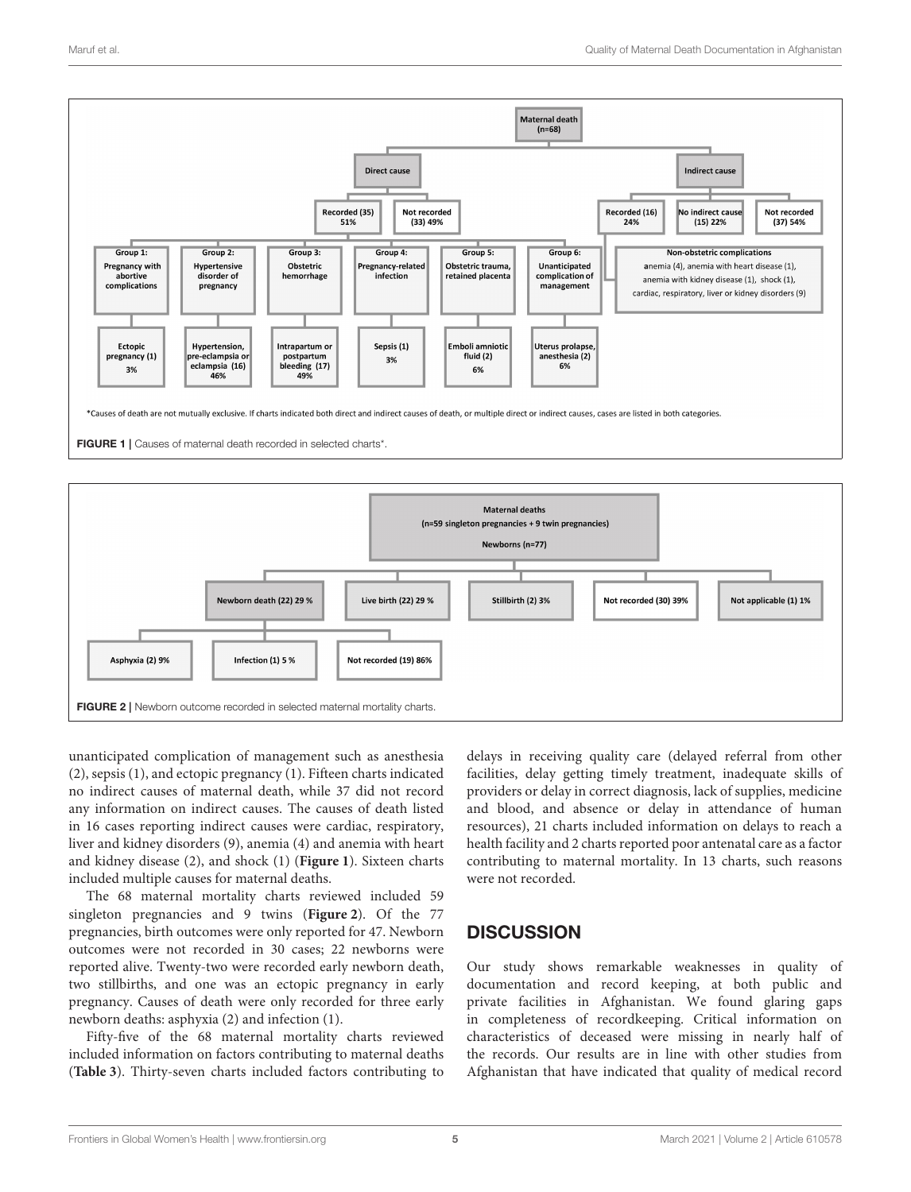

<span id="page-4-0"></span>

<span id="page-4-1"></span>unanticipated complication of management such as anesthesia (2), sepsis (1), and ectopic pregnancy (1). Fifteen charts indicated no indirect causes of maternal death, while 37 did not record any information on indirect causes. The causes of death listed in 16 cases reporting indirect causes were cardiac, respiratory, liver and kidney disorders (9), anemia (4) and anemia with heart and kidney disease (2), and shock (1) (**[Figure 1](#page-4-0)**). Sixteen charts included multiple causes for maternal deaths.

The 68 maternal mortality charts reviewed included 59 singleton pregnancies and 9 twins (**[Figure 2](#page-4-1)**). Of the 77 pregnancies, birth outcomes were only reported for 47. Newborn outcomes were not recorded in 30 cases; 22 newborns were reported alive. Twenty-two were recorded early newborn death, two stillbirths, and one was an ectopic pregnancy in early pregnancy. Causes of death were only recorded for three early newborn deaths: asphyxia (2) and infection (1).

Fifty-five of the 68 maternal mortality charts reviewed included information on factors contributing to maternal deaths (**[Table 3](#page-5-0)**). Thirty-seven charts included factors contributing to delays in receiving quality care (delayed referral from other facilities, delay getting timely treatment, inadequate skills of providers or delay in correct diagnosis, lack of supplies, medicine and blood, and absence or delay in attendance of human resources), 21 charts included information on delays to reach a health facility and 2 charts reported poor antenatal care as a factor contributing to maternal mortality. In 13 charts, such reasons were not recorded.

#### **DISCUSSION**

Our study shows remarkable weaknesses in quality of documentation and record keeping, at both public and private facilities in Afghanistan. We found glaring gaps in completeness of recordkeeping. Critical information on characteristics of deceased were missing in nearly half of the records. Our results are in line with other studies from Afghanistan that have indicated that quality of medical record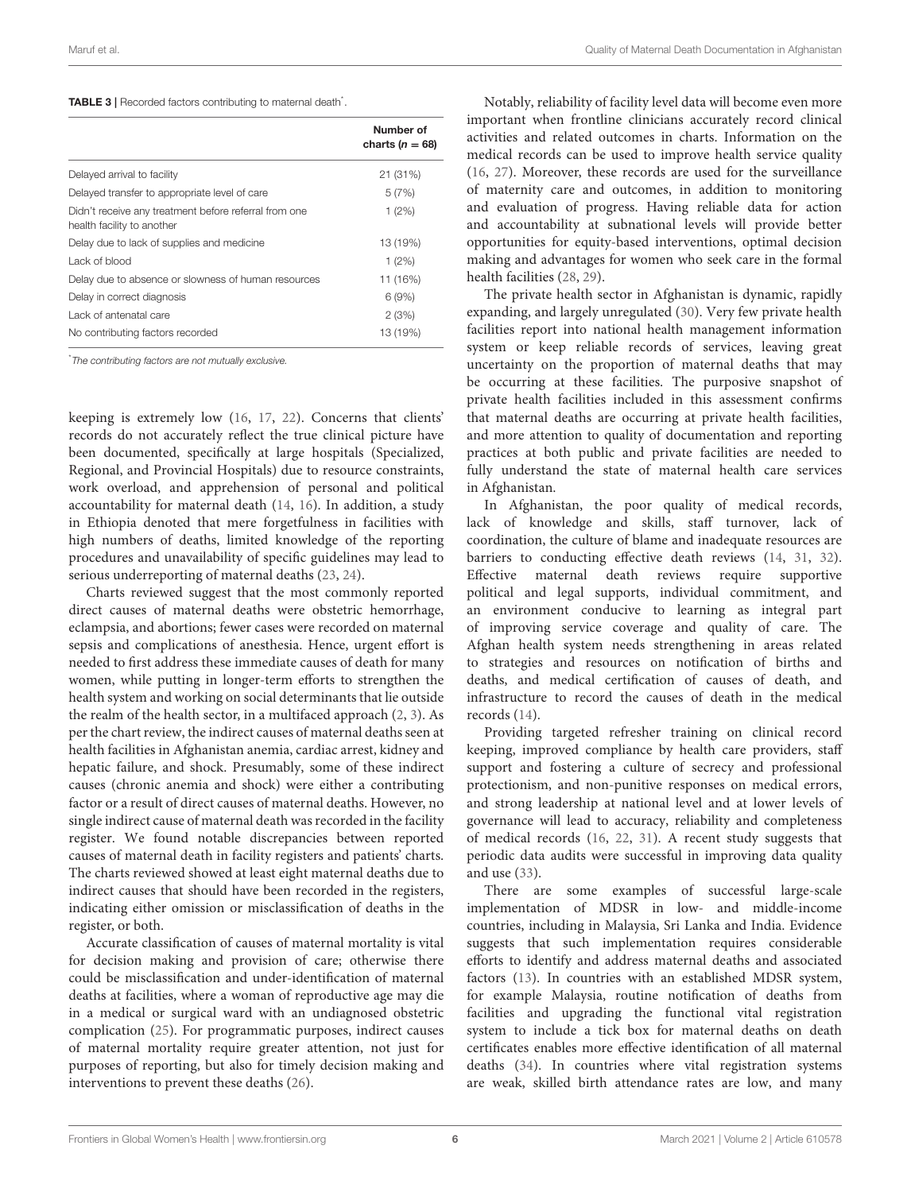<span id="page-5-0"></span>TABLE 3 | Recorded factors contributing to maternal death<sup>\*</sup>.

|                                                                                     | Number of<br>charts ( $n = 68$ ) |
|-------------------------------------------------------------------------------------|----------------------------------|
| Delayed arrival to facility                                                         | 21 (31%)                         |
| Delayed transfer to appropriate level of care                                       | 5(7%)                            |
| Didn't receive any treatment before referral from one<br>health facility to another | 1(2%)                            |
| Delay due to lack of supplies and medicine                                          | 13 (19%)                         |
| Lack of blood                                                                       | 1(2%)                            |
| Delay due to absence or slowness of human resources                                 | 11 (16%)                         |
| Delay in correct diagnosis                                                          | 6(9%)                            |
| Lack of antenatal care                                                              | 2(3%)                            |
| No contributing factors recorded                                                    | 13 (19%)                         |

\**The contributing factors are not mutually exclusive.*

keeping is extremely low [\(16,](#page-7-15) [17,](#page-7-16) [22\)](#page-7-20). Concerns that clients' records do not accurately reflect the true clinical picture have been documented, specifically at large hospitals (Specialized, Regional, and Provincial Hospitals) due to resource constraints, work overload, and apprehension of personal and political accountability for maternal death [\(14,](#page-7-13) [16\)](#page-7-15). In addition, a study in Ethiopia denoted that mere forgetfulness in facilities with high numbers of deaths, limited knowledge of the reporting procedures and unavailability of specific guidelines may lead to serious underreporting of maternal deaths [\(23,](#page-7-21) [24\)](#page-7-22).

Charts reviewed suggest that the most commonly reported direct causes of maternal deaths were obstetric hemorrhage, eclampsia, and abortions; fewer cases were recorded on maternal sepsis and complications of anesthesia. Hence, urgent effort is needed to first address these immediate causes of death for many women, while putting in longer-term efforts to strengthen the health system and working on social determinants that lie outside the realm of the health sector, in a multifaced approach [\(2,](#page-7-1) [3\)](#page-7-2). As per the chart review, the indirect causes of maternal deaths seen at health facilities in Afghanistan anemia, cardiac arrest, kidney and hepatic failure, and shock. Presumably, some of these indirect causes (chronic anemia and shock) were either a contributing factor or a result of direct causes of maternal deaths. However, no single indirect cause of maternal death was recorded in the facility register. We found notable discrepancies between reported causes of maternal death in facility registers and patients' charts. The charts reviewed showed at least eight maternal deaths due to indirect causes that should have been recorded in the registers, indicating either omission or misclassification of deaths in the register, or both.

Accurate classification of causes of maternal mortality is vital for decision making and provision of care; otherwise there could be misclassification and under-identification of maternal deaths at facilities, where a woman of reproductive age may die in a medical or surgical ward with an undiagnosed obstetric complication [\(25\)](#page-7-23). For programmatic purposes, indirect causes of maternal mortality require greater attention, not just for purposes of reporting, but also for timely decision making and interventions to prevent these deaths [\(26\)](#page-7-24).

Notably, reliability of facility level data will become even more important when frontline clinicians accurately record clinical activities and related outcomes in charts. Information on the medical records can be used to improve health service quality [\(16,](#page-7-15) [27\)](#page-7-25). Moreover, these records are used for the surveillance of maternity care and outcomes, in addition to monitoring and evaluation of progress. Having reliable data for action and accountability at subnational levels will provide better opportunities for equity-based interventions, optimal decision making and advantages for women who seek care in the formal health facilities [\(28,](#page-7-26) [29\)](#page-7-27).

The private health sector in Afghanistan is dynamic, rapidly expanding, and largely unregulated [\(30\)](#page-7-28). Very few private health facilities report into national health management information system or keep reliable records of services, leaving great uncertainty on the proportion of maternal deaths that may be occurring at these facilities. The purposive snapshot of private health facilities included in this assessment confirms that maternal deaths are occurring at private health facilities, and more attention to quality of documentation and reporting practices at both public and private facilities are needed to fully understand the state of maternal health care services in Afghanistan.

In Afghanistan, the poor quality of medical records, lack of knowledge and skills, staff turnover, lack of coordination, the culture of blame and inadequate resources are barriers to conducting effective death reviews [\(14,](#page-7-13) [31,](#page-7-29) [32\)](#page-7-30). Effective maternal death reviews require supportive political and legal supports, individual commitment, and an environment conducive to learning as integral part of improving service coverage and quality of care. The Afghan health system needs strengthening in areas related to strategies and resources on notification of births and deaths, and medical certification of causes of death, and infrastructure to record the causes of death in the medical records [\(14\)](#page-7-13).

Providing targeted refresher training on clinical record keeping, improved compliance by health care providers, staff support and fostering a culture of secrecy and professional protectionism, and non-punitive responses on medical errors, and strong leadership at national level and at lower levels of governance will lead to accuracy, reliability and completeness of medical records [\(16,](#page-7-15) [22,](#page-7-20) [31\)](#page-7-29). A recent study suggests that periodic data audits were successful in improving data quality and use [\(33\)](#page-7-31).

There are some examples of successful large-scale implementation of MDSR in low- and middle-income countries, including in Malaysia, Sri Lanka and India. Evidence suggests that such implementation requires considerable efforts to identify and address maternal deaths and associated factors [\(13\)](#page-7-12). In countries with an established MDSR system, for example Malaysia, routine notification of deaths from facilities and upgrading the functional vital registration system to include a tick box for maternal deaths on death certificates enables more effective identification of all maternal deaths [\(34\)](#page-7-32). In countries where vital registration systems are weak, skilled birth attendance rates are low, and many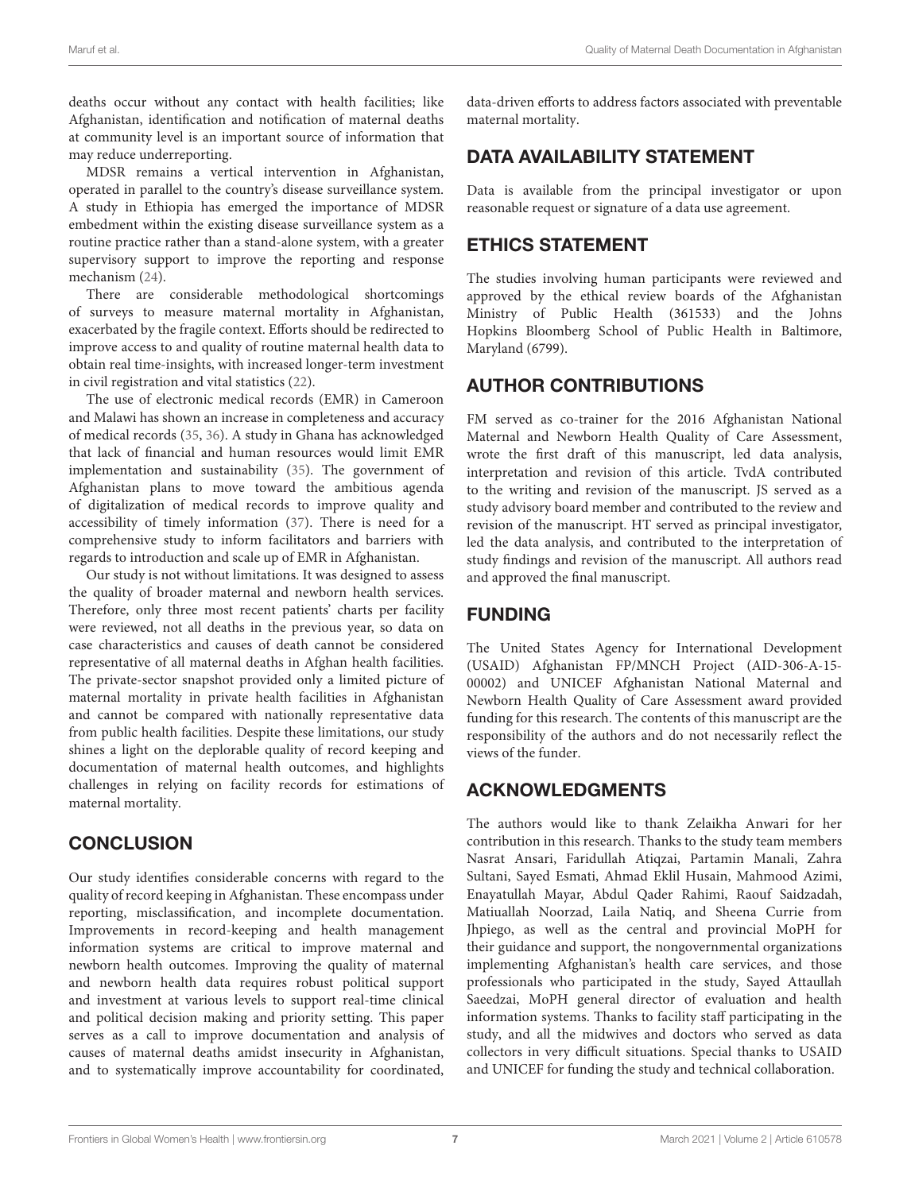deaths occur without any contact with health facilities; like Afghanistan, identification and notification of maternal deaths at community level is an important source of information that may reduce underreporting.

MDSR remains a vertical intervention in Afghanistan, operated in parallel to the country's disease surveillance system. A study in Ethiopia has emerged the importance of MDSR embedment within the existing disease surveillance system as a routine practice rather than a stand-alone system, with a greater supervisory support to improve the reporting and response mechanism [\(24\)](#page-7-22).

There are considerable methodological shortcomings of surveys to measure maternal mortality in Afghanistan, exacerbated by the fragile context. Efforts should be redirected to improve access to and quality of routine maternal health data to obtain real time-insights, with increased longer-term investment in civil registration and vital statistics [\(22\)](#page-7-20).

The use of electronic medical records (EMR) in Cameroon and Malawi has shown an increase in completeness and accuracy of medical records [\(35,](#page-7-33) [36\)](#page-7-34). A study in Ghana has acknowledged that lack of financial and human resources would limit EMR implementation and sustainability [\(35\)](#page-7-33). The government of Afghanistan plans to move toward the ambitious agenda of digitalization of medical records to improve quality and accessibility of timely information [\(37\)](#page-7-35). There is need for a comprehensive study to inform facilitators and barriers with regards to introduction and scale up of EMR in Afghanistan.

Our study is not without limitations. It was designed to assess the quality of broader maternal and newborn health services. Therefore, only three most recent patients' charts per facility were reviewed, not all deaths in the previous year, so data on case characteristics and causes of death cannot be considered representative of all maternal deaths in Afghan health facilities. The private-sector snapshot provided only a limited picture of maternal mortality in private health facilities in Afghanistan and cannot be compared with nationally representative data from public health facilities. Despite these limitations, our study shines a light on the deplorable quality of record keeping and documentation of maternal health outcomes, and highlights challenges in relying on facility records for estimations of maternal mortality.

## **CONCLUSION**

Our study identifies considerable concerns with regard to the quality of record keeping in Afghanistan. These encompass under reporting, misclassification, and incomplete documentation. Improvements in record-keeping and health management information systems are critical to improve maternal and newborn health outcomes. Improving the quality of maternal and newborn health data requires robust political support and investment at various levels to support real-time clinical and political decision making and priority setting. This paper serves as a call to improve documentation and analysis of causes of maternal deaths amidst insecurity in Afghanistan, and to systematically improve accountability for coordinated, data-driven efforts to address factors associated with preventable maternal mortality.

## DATA AVAILABILITY STATEMENT

Data is available from the principal investigator or upon reasonable request or signature of a data use agreement.

#### ETHICS STATEMENT

The studies involving human participants were reviewed and approved by the ethical review boards of the Afghanistan Ministry of Public Health (361533) and the Johns Hopkins Bloomberg School of Public Health in Baltimore, Maryland (6799).

## AUTHOR CONTRIBUTIONS

FM served as co-trainer for the 2016 Afghanistan National Maternal and Newborn Health Quality of Care Assessment, wrote the first draft of this manuscript, led data analysis, interpretation and revision of this article. TvdA contributed to the writing and revision of the manuscript. JS served as a study advisory board member and contributed to the review and revision of the manuscript. HT served as principal investigator, led the data analysis, and contributed to the interpretation of study findings and revision of the manuscript. All authors read and approved the final manuscript.

## FUNDING

The United States Agency for International Development (USAID) Afghanistan FP/MNCH Project (AID-306-A-15- 00002) and UNICEF Afghanistan National Maternal and Newborn Health Quality of Care Assessment award provided funding for this research. The contents of this manuscript are the responsibility of the authors and do not necessarily reflect the views of the funder.

## ACKNOWLEDGMENTS

The authors would like to thank Zelaikha Anwari for her contribution in this research. Thanks to the study team members Nasrat Ansari, Faridullah Atiqzai, Partamin Manali, Zahra Sultani, Sayed Esmati, Ahmad Eklil Husain, Mahmood Azimi, Enayatullah Mayar, Abdul Qader Rahimi, Raouf Saidzadah, Matiuallah Noorzad, Laila Natiq, and Sheena Currie from Jhpiego, as well as the central and provincial MoPH for their guidance and support, the nongovernmental organizations implementing Afghanistan's health care services, and those professionals who participated in the study, Sayed Attaullah Saeedzai, MoPH general director of evaluation and health information systems. Thanks to facility staff participating in the study, and all the midwives and doctors who served as data collectors in very difficult situations. Special thanks to USAID and UNICEF for funding the study and technical collaboration.